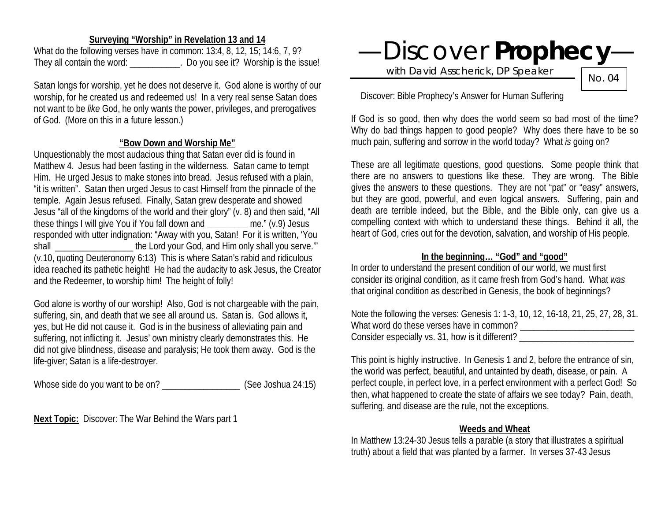#### **Surveying "Worship" in Revelation 13 and 14**

What do the following verses have in common: 13:4, 8, 12, 15; 14:6, 7, 9? They all contain the word: \_\_\_\_\_\_\_\_\_\_\_. Do you see it? Worship is the issue!

Satan longs for worship, yet he does not deserve it. God alone is worthy of our worship, for he created us and redeemed us! In a very real sense Satan does not want to be *like* God, he only wants the power, privileges, and prerogatives of God. (More on this in a future lesson.)

#### **"Bow Down and Worship Me"**

Unquestionably the most audacious thing that Satan ever did is found in Matthew 4. Jesus had been fasting in the wilderness. Satan came to tempt Him. He urged Jesus to make stones into bread. Jesus refused with a plain, "it is written". Satan then urged Jesus to cast Himself from the pinnacle of the temple. Again Jesus refused. Finally, Satan grew desperate and showed Jesus "all of the kingdoms of the world and their glory" (v. 8) and then said, "All these things I will give You if You fall down and **\_\_\_\_\_\_\_\_\_** me." (v.9) Jesus responded with utter indignation: "Away with you, Satan! For it is written, 'You shall shall the Lord your God, and Him only shall you serve." (v.10, quoting Deuteronomy 6:13) This is where Satan's rabid and ridiculous idea reached its pathetic height! He had the audacity to ask Jesus, the Creator and the Redeemer, to worship him! The height of folly!

God alone is worthy of our worship! Also, God is not chargeable with the pain, suffering, sin, and death that we see all around us. Satan is. God allows it, yes, but He did not cause it. God is in the business of alleviating pain and suffering, not inflicting it. Jesus' own ministry clearly demonstrates this. He did not give blindness, disease and paralysis; He took them away. God is the life-giver; Satan is a life-destroyer.

Whose side do you want to be on? \_\_\_\_\_\_\_\_\_\_\_\_\_\_\_\_\_ (See Joshua 24:15)

**Next Topic:** Discover: The War Behind the Wars part 1

# —Discover **Prophecy**—

with David Asscherick, DP Speaker

No. 04

Discover: Bible Prophecy's Answer for Human Suffering

If God is so good, then why does the world seem so bad most of the time? Why do bad things happen to good people? Why does there have to be so much pain, suffering and sorrow in the world today? What *is* going on?

These are all legitimate questions, good questions. Some people think that there are no answers to questions like these. They are wrong. The Bible gives the answers to these questions. They are not "pat" or "easy" answers, but they are good, powerful, and even logical answers. Suffering, pain and death are terrible indeed, but the Bible, and the Bible only, can give us a compelling context with which to understand these things. Behind it all, the heart of God, cries out for the devotion, salvation, and worship of His people.

## **In the beginning… "God" and "good"**

In order to understand the present condition of our world, we must first consider its original condition, as it came fresh from God's hand. What *was* that original condition as described in Genesis, the book of beginnings?

Note the following the verses: Genesis 1: 1-3, 10, 12, 16-18, 21, 25, 27, 28, 31. What word do these verses have in common? Consider especially vs. 31, how is it different? \_\_\_\_\_\_\_\_\_\_\_\_\_\_\_\_\_\_\_\_\_\_\_\_\_\_\_\_\_\_\_

This point is highly instructive. In Genesis 1 and 2, before the entrance of sin, the world was perfect, beautiful, and untainted by death, disease, or pain. A perfect couple, in perfect love, in a perfect environment with a perfect God! So then, what happened to create the state of affairs we see today? Pain, death, suffering, and disease are the rule, not the exceptions.

#### **Weeds and Wheat**

In Matthew 13:24-30 Jesus tells a parable (a story that illustrates a spiritual truth) about a field that was planted by a farmer. In verses 37-43 Jesus